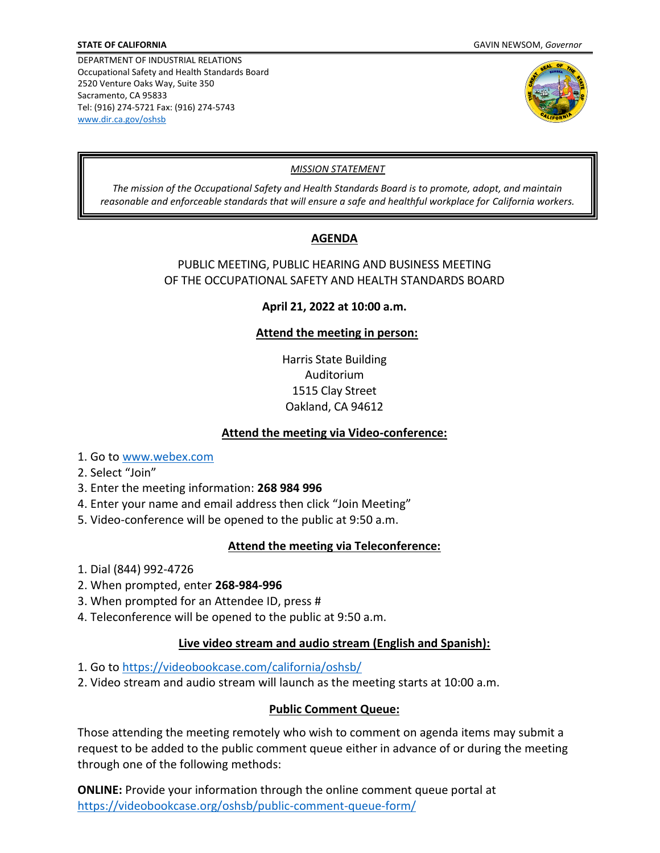



## *MISSION STATEMENT*

*The mission of the Occupational Safety and Health Standards Board is to promote, adopt, and maintain reasonable and enforceable standards that will ensure a safe and healthful workplace for California workers.*

# **AGENDA**

## PUBLIC MEETING, PUBLIC HEARING AND BUSINESS MEETING OF THE OCCUPATIONAL SAFETY AND HEALTH STANDARDS BOARD

**April 21, 2022 at 10:00 a.m.**

# **Attend the meeting in person:**

Harris State Building Auditorium 1515 Clay Street Oakland, CA 94612

## **Attend the meeting via Video-conference:**

- 1. Go to [www.webex.com](http://www.webex.com/)
- 2. Select "Join"
- 3. Enter the meeting information: **268 984 996**
- 4. Enter your name and email address then click "Join Meeting"
- 5. Video-conference will be opened to the public at 9:50 a.m.

# **Attend the meeting via Teleconference:**

- 1. Dial (844) 992-4726
- 2. When prompted, enter **268-984-996**
- 3. When prompted for an Attendee ID, press #
- 4. Teleconference will be opened to the public at 9:50 a.m.

#### **Live video stream and audio stream (English and Spanish):**

- 1. Go to<https://videobookcase.com/california/oshsb/>
- 2. Video stream and audio stream will launch as the meeting starts at 10:00 a.m.

# **Public Comment Queue:**

Those attending the meeting remotely who wish to comment on agenda items may submit a request to be added to the public comment queue either in advance of or during the meeting through one of the following methods:

**ONLINE:** Provide your information through the online comment queue portal at <https://videobookcase.org/oshsb/public-comment-queue-form/>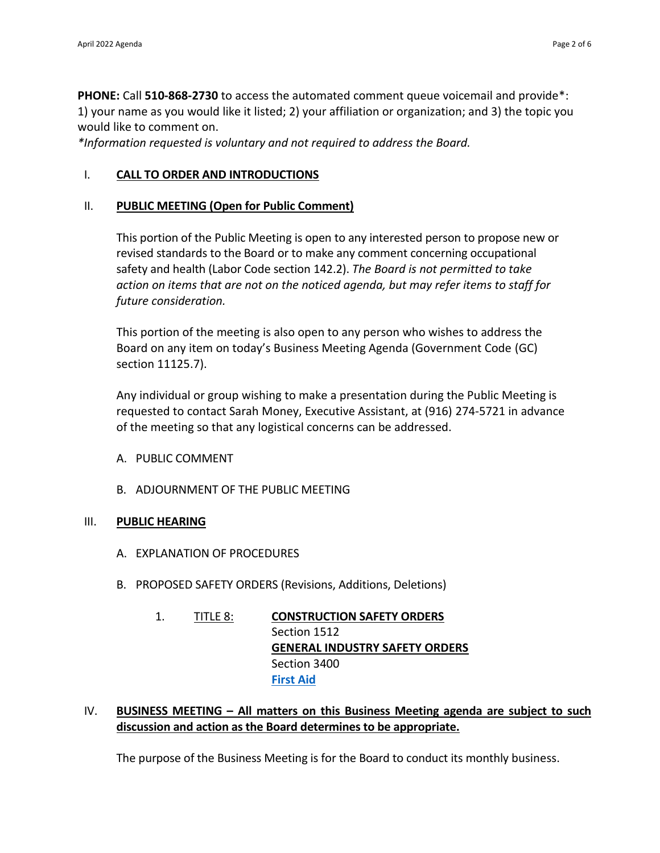**PHONE:** Call **510-868-2730** to access the automated comment queue voicemail and provide\*: 1) your name as you would like it listed; 2) your affiliation or organization; and 3) the topic you would like to comment on.

*\*Information requested is voluntary and not required to address the Board.*

# I. **CALL TO ORDER AND INTRODUCTIONS**

# II. **PUBLIC MEETING (Open for Public Comment)**

This portion of the Public Meeting is open to any interested person to propose new or revised standards to the Board or to make any comment concerning occupational safety and health (Labor Code section 142.2). *The Board is not permitted to take action on items that are not on the noticed agenda, but may refer items to staff for future consideration.*

This portion of the meeting is also open to any person who wishes to address the Board on any item on today's Business Meeting Agenda (Government Code (GC) section 11125.7).

Any individual or group wishing to make a presentation during the Public Meeting is requested to contact Sarah Money, Executive Assistant, at (916) 274-5721 in advance of the meeting so that any logistical concerns can be addressed.

- A. PUBLIC COMMENT
- B. ADJOURNMENT OF THE PUBLIC MEETING

# III. **PUBLIC HEARING**

- A. EXPLANATION OF PROCEDURES
- B. PROPOSED SAFETY ORDERS (Revisions, Additions, Deletions)
	- 1. TITLE 8: **CONSTRUCTION SAFETY ORDERS** Section 1512 **GENERAL INDUSTRY SAFETY ORDERS** Section 3400 **[First](https://www.dir.ca.gov/OSHSB/First-Aid.html) Aid**
- IV. **BUSINESS MEETING – All matters on this Business Meeting agenda are subject to such discussion and action as the Board determines to be appropriate.**

The purpose of the Business Meeting is for the Board to conduct its monthly business.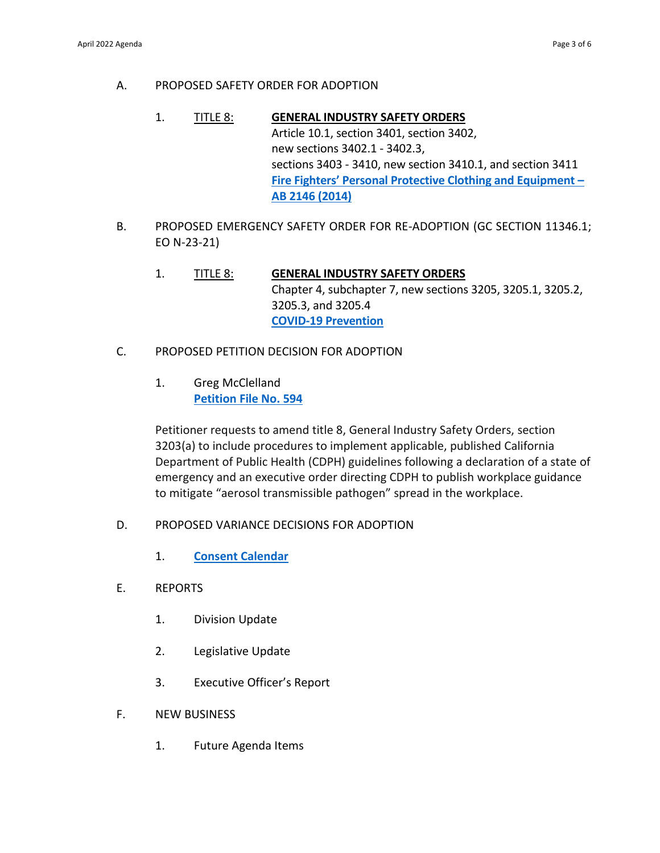- A. PROPOSED SAFETY ORDER FOR ADOPTION
	- 1. TITLE 8: **GENERAL INDUSTRY SAFETY ORDERS** Article 10.1, section 3401, section 3402, new sections 3402.1 - 3402.3, sections 3403 - 3410, new section 3410.1, and section 3411 **Fire Fighters' Personal Protective Clothing and [Equipment](https://www.dir.ca.gov/oshsb/Firefighter-PPE.html) – AB 2146 (2014)**
- B. PROPOSED EMERGENCY SAFETY ORDER FOR RE-ADOPTION (GC SECTION 11346.1; EO N-23-21)
	- 1. TITLE 8: **GENERAL INDUSTRY SAFETY ORDERS** Chapter 4, subchapter 7, new sections 3205, 3205.1, 3205.2, 3205.3, and 3205.4 **COVID-19 [Prevention](https://www.dir.ca.gov/OSHSB/COVID-19-Prevention-Emergency.html)**
- C. PROPOSED PETITION DECISION FOR ADOPTION
	- 1. Greg McClelland **[Petition](https://www.dir.ca.gov/oshsb/petition-594.html) File No. 594**

Petitioner requests to amend title 8, General Industry Safety Orders, section 3203(a) to include procedures to implement applicable, published California Department of Public Health (CDPH) guidelines following a declaration of a state of emergency and an executive order directing CDPH to publish workplace guidance to mitigate "aerosol transmissible pathogen" spread in the workplace.

- D. PROPOSED VARIANCE DECISIONS FOR ADOPTION
	- 1. **Consent [Calendar](https://www.dir.ca.gov/oshsb/propvariancedecisions.html)**
- E. REPORTS
	- 1. Division Update
	- 2. Legislative Update
	- 3. Executive Officer's Report
- F. NEW BUSINESS
	- 1. Future Agenda Items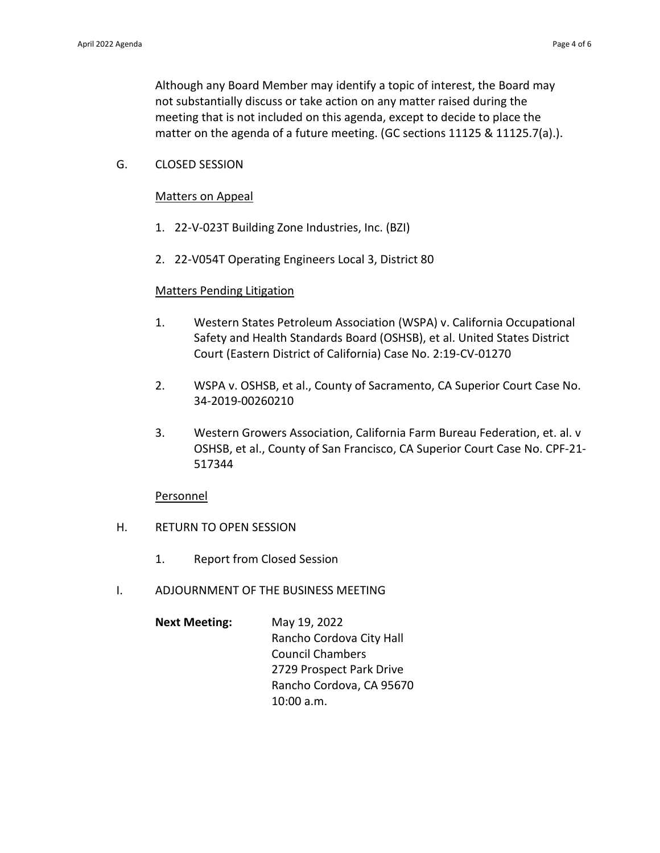Although any Board Member may identify a topic of interest, the Board may not substantially discuss or take action on any matter raised during the meeting that is not included on this agenda, except to decide to place the matter on the agenda of a future meeting. (GC sections 11125 & 11125.7(a).).

G. CLOSED SESSION

#### Matters on Appeal

- 1. 22-V-023T Building Zone Industries, Inc. (BZI)
- 2. 22-V054T Operating Engineers Local 3, District 80

#### Matters Pending Litigation

- 1. Western States Petroleum Association (WSPA) v. California Occupational Safety and Health Standards Board (OSHSB), et al. United States District Court (Eastern District of California) Case No. 2:19-CV-01270
- 2. WSPA v. OSHSB, et al., County of Sacramento, CA Superior Court Case No. 34-2019-00260210
- 3. Western Growers Association, California Farm Bureau Federation, et. al. v OSHSB, et al., County of San Francisco, CA Superior Court Case No. CPF-21- 517344

#### Personnel

- H. RETURN TO OPEN SESSION
	- 1. Report from Closed Session
- I. ADJOURNMENT OF THE BUSINESS MEETING
	- **Next Meeting:** May 19, 2022 Rancho Cordova City Hall Council Chambers 2729 Prospect Park Drive Rancho Cordova, CA 95670 10:00 a.m.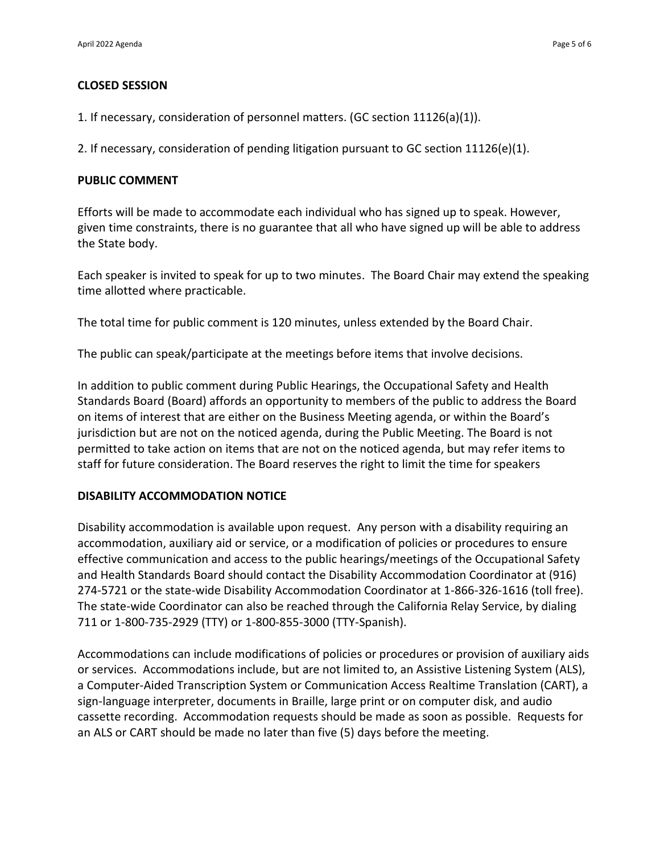#### **CLOSED SESSION**

1. If necessary, consideration of personnel matters. (GC section 11126(a)(1)).

2. If necessary, consideration of pending litigation pursuant to GC section 11126(e)(1).

#### **PUBLIC COMMENT**

Efforts will be made to accommodate each individual who has signed up to speak. However, given time constraints, there is no guarantee that all who have signed up will be able to address the State body.

Each speaker is invited to speak for up to two minutes. The Board Chair may extend the speaking time allotted where practicable.

The total time for public comment is 120 minutes, unless extended by the Board Chair.

The public can speak/participate at the meetings before items that involve decisions.

In addition to public comment during Public Hearings, the Occupational Safety and Health Standards Board (Board) affords an opportunity to members of the public to address the Board on items of interest that are either on the Business Meeting agenda, or within the Board's jurisdiction but are not on the noticed agenda, during the Public Meeting. The Board is not permitted to take action on items that are not on the noticed agenda, but may refer items to staff for future consideration. The Board reserves the right to limit the time for speakers

#### **DISABILITY ACCOMMODATION NOTICE**

Disability accommodation is available upon request. Any person with a disability requiring an accommodation, auxiliary aid or service, or a modification of policies or procedures to ensure effective communication and access to the public hearings/meetings of the Occupational Safety and Health Standards Board should contact the Disability Accommodation Coordinator at (916) 274-5721 or the state-wide Disability Accommodation Coordinator at 1-866-326-1616 (toll free). The state-wide Coordinator can also be reached through the California Relay Service, by dialing 711 or 1-800-735-2929 (TTY) or 1-800-855-3000 (TTY-Spanish).

Accommodations can include modifications of policies or procedures or provision of auxiliary aids or services. Accommodations include, but are not limited to, an Assistive Listening System (ALS), a Computer-Aided Transcription System or Communication Access Realtime Translation (CART), a sign-language interpreter, documents in Braille, large print or on computer disk, and audio cassette recording. Accommodation requests should be made as soon as possible. Requests for an ALS or CART should be made no later than five (5) days before the meeting.